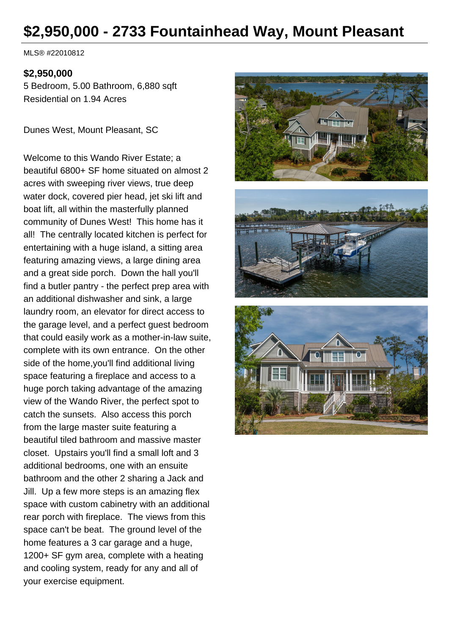# **\$2,950,000 - 2733 Fountainhead Way, Mount Pleasant**

MLS® #22010812

#### **\$2,950,000**

5 Bedroom, 5.00 Bathroom, 6,880 sqft Residential on 1.94 Acres

Dunes West, Mount Pleasant, SC

Welcome to this Wando River Estate; a beautiful 6800+ SF home situated on almost 2 acres with sweeping river views, true deep water dock, covered pier head, jet ski lift and boat lift, all within the masterfully planned community of Dunes West! This home has it all! The centrally located kitchen is perfect for entertaining with a huge island, a sitting area featuring amazing views, a large dining area and a great side porch. Down the hall you'll find a butler pantry - the perfect prep area with an additional dishwasher and sink, a large laundry room, an elevator for direct access to the garage level, and a perfect guest bedroom that could easily work as a mother-in-law suite, complete with its own entrance. On the other side of the home,you'll find additional living space featuring a fireplace and access to a huge porch taking advantage of the amazing view of the Wando River, the perfect spot to catch the sunsets. Also access this porch from the large master suite featuring a beautiful tiled bathroom and massive master closet. Upstairs you'll find a small loft and 3 additional bedrooms, one with an ensuite bathroom and the other 2 sharing a Jack and Jill. Up a few more steps is an amazing flex space with custom cabinetry with an additional rear porch with fireplace. The views from this space can't be beat. The ground level of the home features a 3 car garage and a huge, 1200+ SF gym area, complete with a heating and cooling system, ready for any and all of your exercise equipment.

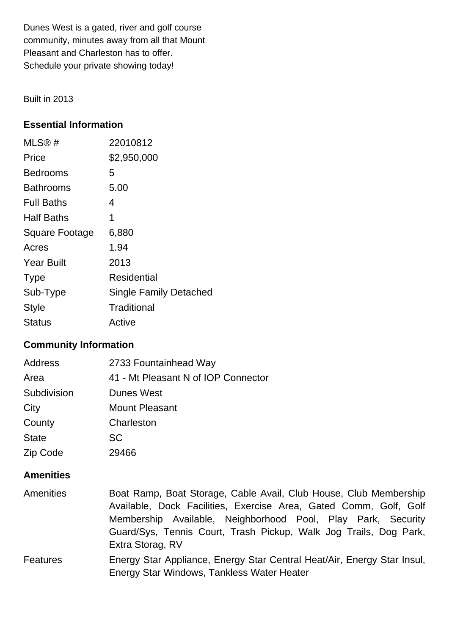Dunes West is a gated, river and golf course community, minutes away from all that Mount Pleasant and Charleston has to offer. Schedule your private showing today!

Built in 2013

#### **Essential Information**

| MLS@#             | 22010812                      |
|-------------------|-------------------------------|
| Price             | \$2,950,000                   |
| <b>Bedrooms</b>   | 5                             |
| Bathrooms         | 5.00                          |
| <b>Full Baths</b> | 4                             |
| <b>Half Baths</b> | 1                             |
| Square Footage    | 6,880                         |
| Acres             | 1.94                          |
| <b>Year Built</b> | 2013                          |
| <b>Type</b>       | Residential                   |
| Sub-Type          | <b>Single Family Detached</b> |
| <b>Style</b>      | Traditional                   |
| Status            | Active                        |

#### **Community Information**

| <b>Address</b> | 2733 Fountainhead Way               |
|----------------|-------------------------------------|
| Area           | 41 - Mt Pleasant N of IOP Connector |
| Subdivision    | <b>Dunes West</b>                   |
| City           | <b>Mount Pleasant</b>               |
| County         | Charleston                          |
| <b>State</b>   | <b>SC</b>                           |
| Zip Code       | 29466                               |

#### **Amenities**

Amenities Boat Ramp, Boat Storage, Cable Avail, Club House, Club Membership Available, Dock Facilities, Exercise Area, Gated Comm, Golf, Golf Membership Available, Neighborhood Pool, Play Park, Security Guard/Sys, Tennis Court, Trash Pickup, Walk Jog Trails, Dog Park, Extra Storag, RV Features Energy Star Appliance, Energy Star Central Heat/Air, Energy Star Insul, Energy Star Windows, Tankless Water Heater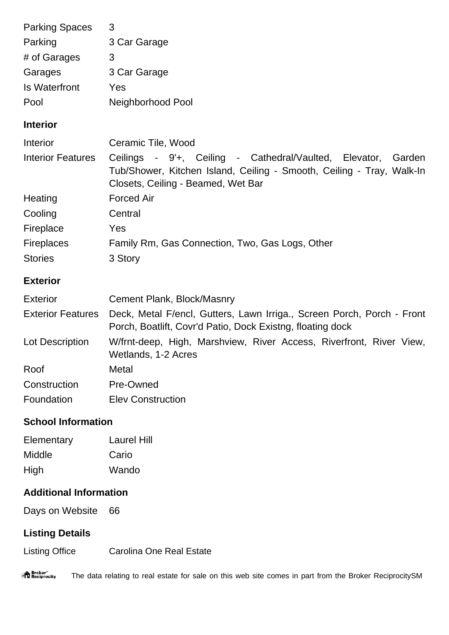| <b>Parking Spaces</b>     | 3                                                                                                                                                                               |
|---------------------------|---------------------------------------------------------------------------------------------------------------------------------------------------------------------------------|
| Parking                   | 3 Car Garage                                                                                                                                                                    |
| # of Garages              | 3                                                                                                                                                                               |
| Garages                   | 3 Car Garage                                                                                                                                                                    |
| <b>Is Waterfront</b>      | Yes                                                                                                                                                                             |
| Pool                      | Neighborhood Pool                                                                                                                                                               |
| <b>Interior</b>           |                                                                                                                                                                                 |
| Interior                  | Ceramic Tile, Wood                                                                                                                                                              |
| <b>Interior Features</b>  | Ceilings - 9'+, Ceiling - Cathedral/Vaulted, Elevator,<br>Garden<br>Tub/Shower, Kitchen Island, Ceiling - Smooth, Ceiling - Tray, Walk-In<br>Closets, Ceiling - Beamed, Wet Bar |
| Heating                   | <b>Forced Air</b>                                                                                                                                                               |
| Cooling                   | Central                                                                                                                                                                         |
| Fireplace                 | Yes                                                                                                                                                                             |
| <b>Fireplaces</b>         | Family Rm, Gas Connection, Two, Gas Logs, Other                                                                                                                                 |
| <b>Stories</b>            | 3 Story                                                                                                                                                                         |
| <b>Exterior</b>           |                                                                                                                                                                                 |
| <b>Exterior</b>           | Cement Plank, Block/Masnry                                                                                                                                                      |
| <b>Exterior Features</b>  | Deck, Metal F/encl, Gutters, Lawn Irriga., Screen Porch, Porch - Front<br>Porch, Boatlift, Covr'd Patio, Dock Existng, floating dock                                            |
| Lot Description           | W/frnt-deep, High, Marshview, River Access, Riverfront, River View,<br>Wetlands, 1-2 Acres                                                                                      |
| Roof                      | Metal                                                                                                                                                                           |
| Construction              | Pre-Owned                                                                                                                                                                       |
| Foundation                | <b>Elev Construction</b>                                                                                                                                                        |
| <b>School Information</b> |                                                                                                                                                                                 |

Elementary Laurel Hill Middle Cario High Wando

## **Additional Information**

Days on Website 66

### **Listing Details**

Listing Office Carolina One Real Estate

"<sup>A</sup> Broker"<br>"I Reciprocity The data relating to real estate for sale on this web site comes in part from the Broker ReciprocitySM